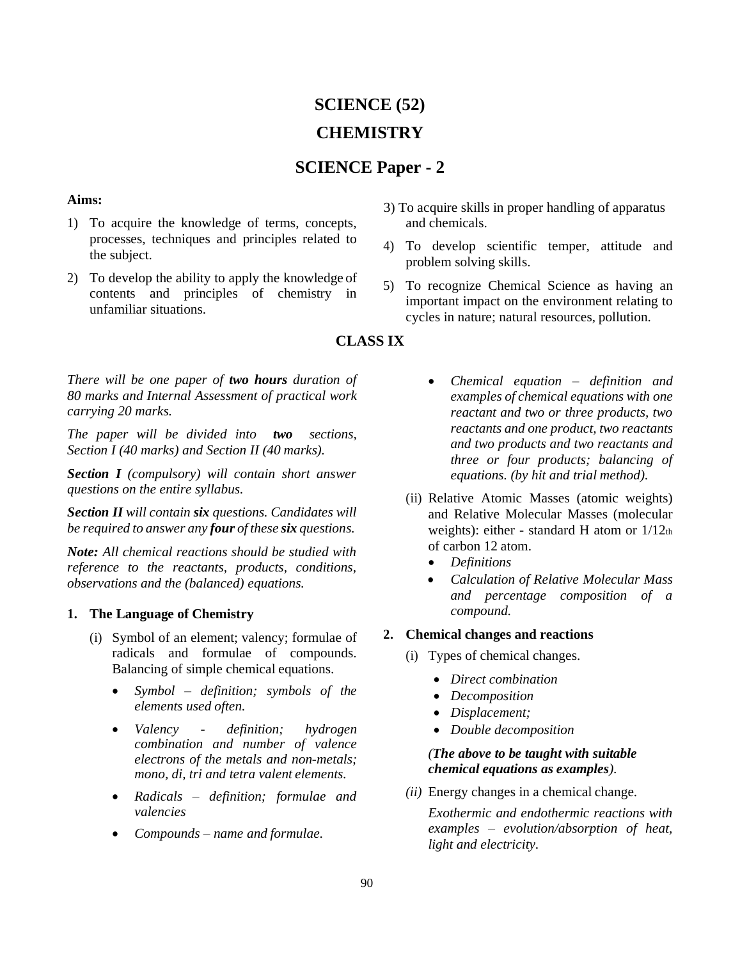# **SCIENCE (52) CHEMISTRY**

# **SCIENCE Paper - 2**

## **Aims:**

- 1) To acquire the knowledge of terms, concepts, processes, techniques and principles related to the subject.
- 2) To develop the ability to apply the knowledge of contents and principles of chemistry in unfamiliar situations.
- 3) To acquire skills in proper handling of apparatus and chemicals.
- 4) To develop scientific temper, attitude and problem solving skills.
- 5) To recognize Chemical Science as having an important impact on the environment relating to cycles in nature; natural resources, pollution.

# **CLASS IX**

*There will be one paper of two hours duration of 80 marks and Internal Assessment of practical work carrying 20 marks.*

*The paper will be divided into two sections, Section I (40 marks) and Section II (40 marks).*

*Section I (compulsory) will contain short answer questions on the entire syllabus.*

*Section II will contain six questions. Candidates will be required to answer any four of these six questions.*

*Note: All chemical reactions should be studied with reference to the reactants, products, conditions, observations and the (balanced) equations.*

## **1. The Language of Chemistry**

- (i) Symbol of an element; valency; formulae of radicals and formulae of compounds. Balancing of simple chemical equations.
	- *Symbol – definition; symbols of the elements used often.*
	- *Valency - definition; hydrogen combination and number of valence electrons of the metals and non-metals; mono, di, tri and tetra valent elements.*
	- *Radicals – definition; formulae and valencies*
	- *Compounds – name and formulae.*
- *Chemical equation – definition and examples of chemical equations with one reactant and two or three products, two reactants and one product, two reactants and two products and two reactants and three or four products; balancing of equations. (by hit and trial method).*
- (ii) Relative Atomic Masses (atomic weights) and Relative Molecular Masses (molecular weights): either - standard H atom or  $1/12$ th of carbon 12 atom.
	- *Definitions*
	- *Calculation of Relative Molecular Mass and percentage composition of a compound.*

# **2. Chemical changes and reactions**

- (i) Types of chemical changes.
	- *Direct combination*
	- *Decomposition*
	- *Displacement;*
	- *Double decomposition*

## *(The above to be taught with suitable chemical equations as examples).*

*(ii)* Energy changes in a chemical change*.*

*Exothermic and endothermic reactions with examples – evolution/absorption of heat, light and electricity.*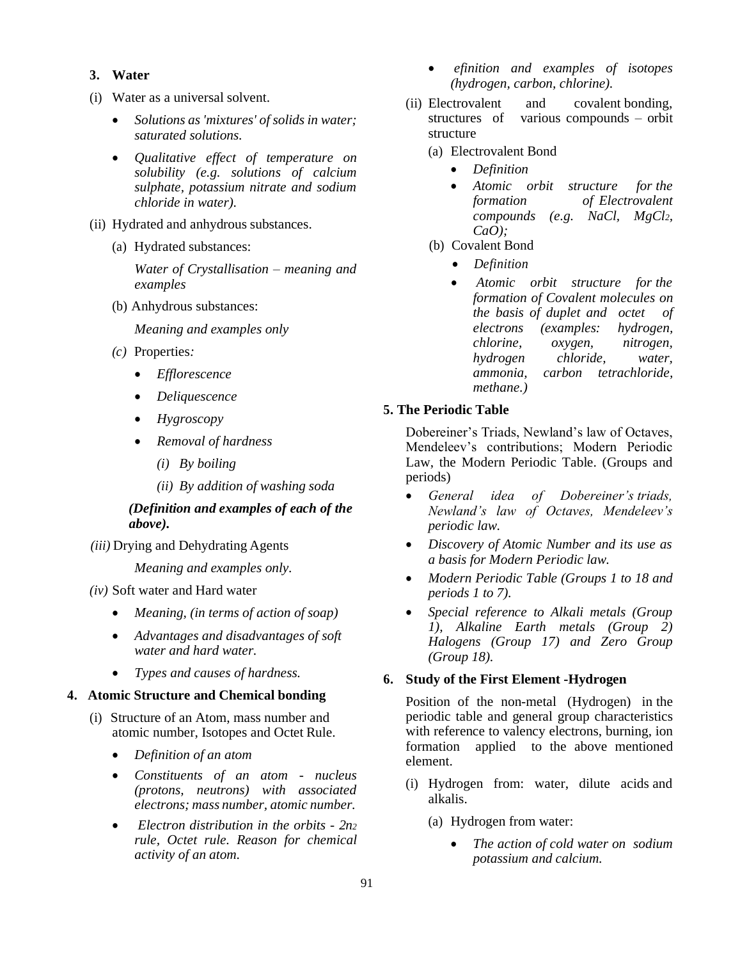#### **3. Water**

- (i) Water as a universal solvent.
	- *Solutions as 'mixtures' of solids in water; saturated solutions.*
	- *Qualitative effect of temperature on solubility (e.g. solutions of calcium sulphate, potassium nitrate and sodium chloride in water).*
- (ii) Hydrated and anhydrous substances.
	- (a) Hydrated substances:

*Water of Crystallisation – meaning and examples*

(b) Anhydrous substances:

*Meaning and examples only*

- *(c)* Properties*:*
	- *Efflorescence*
	- *Deliquescence*
	- *Hygroscopy*
	- *Removal of hardness*
		- *(i) By boiling*
		- *(ii) By addition of washing soda*

## *(Definition and examples of each of the above).*

*(iii)* Drying and Dehydrating Agents

*Meaning and examples only.*

- *(iv)* Soft water and Hard water
	- *Meaning, (in terms of action of soap)*
	- *Advantages and disadvantages of soft water and hard water.*
	- *Types and causes of hardness.*

#### **4. Atomic Structure and Chemical bonding**

- (i) Structure of an Atom, mass number and atomic number, Isotopes and Octet Rule.
	- *Definition of an atom*
	- *Constituents of an atom - nucleus (protons, neutrons) with associated electrons; mass number, atomic number.*
	- *Electron distribution in the orbits - 2n<sup>2</sup> rule, Octet rule. Reason for chemical activity of an atom.*
- *efinition and examples of isotopes (hydrogen, carbon, chlorine).*
- (ii) Electrovalent and covalent bonding, structures of various compounds – orbit structure
	- (a) Electrovalent Bond
		- *Definition*
		- *Atomic orbit structure for the formation of Electrovalent compounds (e.g. NaCl, MgCl2, CaO);*
	- (b) Covalent Bond
		- *Definition*
		- *Atomic orbit structure for the formation of Covalent molecules on the basis of duplet and octet of electrons (examples: hydrogen, chlorine, oxygen, nitrogen, hydrogen chloride, water, ammonia, carbon tetrachloride, methane.)*

#### **5. The Periodic Table**

Dobereiner's Triads, Newland's law of Octaves, Mendeleev's contributions; Modern Periodic Law, the Modern Periodic Table. (Groups and periods)

- *General idea of Dobereiner's triads, Newland's law of Octaves, Mendeleev's periodic law.*
- *Discovery of Atomic Number and its use as a basis for Modern Periodic law.*
- *Modern Periodic Table (Groups 1 to 18 and periods 1 to 7).*
- *Special reference to Alkali metals (Group 1), Alkaline Earth metals (Group 2) Halogens (Group 17) and Zero Group (Group 18).*

#### **6. Study of the First Element -Hydrogen**

Position of the non-metal (Hydrogen) in the periodic table and general group characteristics with reference to valency electrons, burning, ion formation applied to the above mentioned element.

- (i) Hydrogen from: water, dilute acids and alkalis.
	- (a) Hydrogen from water:
		- *The action of cold water on sodium potassium and calcium.*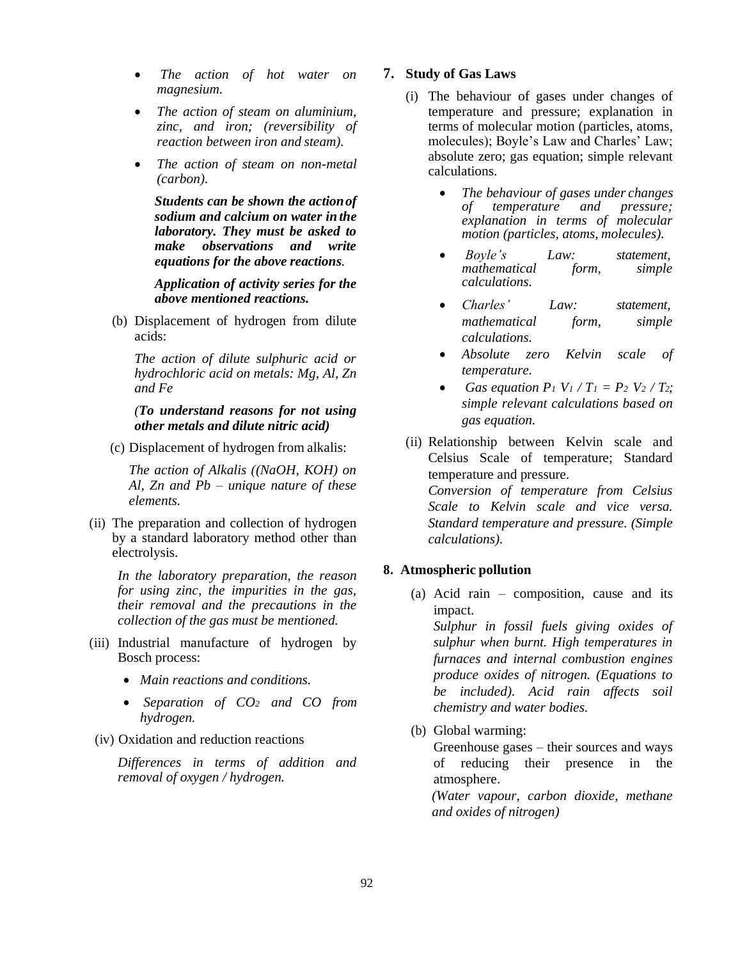- *The action of hot water on magnesium.*
- *The action of steam on aluminium, zinc, and iron; (reversibility of reaction between iron and steam).*
- *The action of steam on non-metal (carbon).*

*Students can be shown the actionof sodium and calcium on water in the laboratory. They must be asked to make observations and write equations for the above reactions.*

*Application of activity series for the above mentioned reactions.*

(b) Displacement of hydrogen from dilute acids:

*The action of dilute sulphuric acid or hydrochloric acid on metals: Mg, Al, Zn and Fe*

#### *(To understand reasons for not using other metals and dilute nitric acid)*

(c) Displacement of hydrogen from alkalis:

*The action of Alkalis ((NaOH, KOH) on Al, Zn and Pb – unique nature of these elements.*

(ii) The preparation and collection of hydrogen by a standard laboratory method other than electrolysis.

*In the laboratory preparation, the reason for using zinc, the impurities in the gas, their removal and the precautions in the collection of the gas must be mentioned.*

- (iii) Industrial manufacture of hydrogen by Bosch process:
	- *Main reactions and conditions.*
	- *Separation of CO<sup>2</sup> and CO from hydrogen.*
- (iv) Oxidation and reduction reactions

*Differences in terms of addition and removal of oxygen / hydrogen.*

#### **7. Study of Gas Laws**

- (i) The behaviour of gases under changes of temperature and pressure; explanation in terms of molecular motion (particles, atoms*,*  molecules); Boyle's Law and Charles' Law; absolute zero; gas equation; simple relevant calculations.
	- *The behaviour of gases under changes of temperature and pressure; explanation in terms of molecular motion (particles, atoms, molecules).*
	- *Boyle's Law: statement, mathematical form, simple calculations.*
	- *Charles' Law: statement, mathematical form, simple calculations.*
	- *Absolute zero Kelvin scale of temperature.*
	- *Gas equation P<sub>1</sub></sub>*  $V_1 / T_1 = P_2 V_2 / T_2$ *; simple relevant calculations based on gas equation.*
- (ii) Relationship between Kelvin scale and Celsius Scale of temperature; Standard temperature and pressure. *Conversion of temperature from Celsius*

*Scale to Kelvin scale and vice versa. Standard temperature and pressure. (Simple calculations).*

#### **8. Atmospheric pollution**

(a) Acid rain – composition, cause and its impact. *Sulphur in fossil fuels giving oxides of sulphur when burnt. High temperatures in* 

*furnaces and internal combustion engines produce oxides of nitrogen. (Equations to be included). Acid rain affects soil chemistry and water bodies.*

(b) Global warming:

Greenhouse gases – their sources and ways of reducing their presence in the atmosphere.

*(Water vapour, carbon dioxide, methane and oxides of nitrogen)*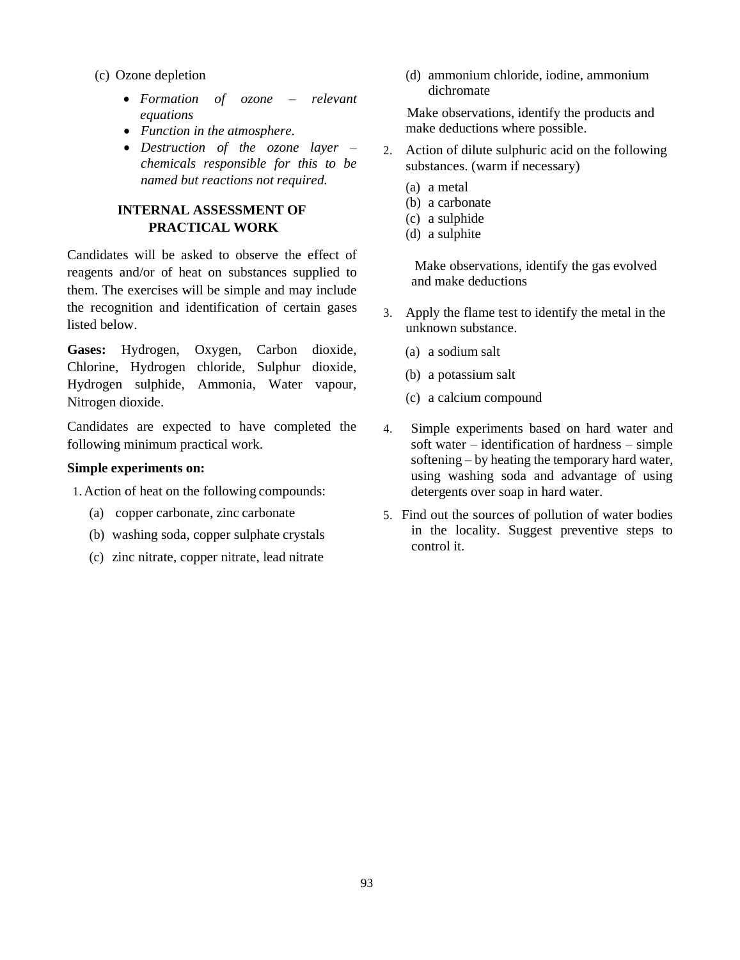- (c) Ozone depletion
	- *Formation of ozone – relevant equations*
	- *Function in the atmosphere.*
	- *Destruction of the ozone layer – chemicals responsible for this to be named but reactions not required.*

# **INTERNAL ASSESSMENT OF PRACTICAL WORK**

Candidates will be asked to observe the effect of reagents and/or of heat on substances supplied to them. The exercises will be simple and may include the recognition and identification of certain gases listed below.

**Gases:** Hydrogen, Oxygen, Carbon dioxide, Chlorine, Hydrogen chloride, Sulphur dioxide, Hydrogen sulphide, Ammonia, Water vapour, Nitrogen dioxide.

Candidates are expected to have completed the following minimum practical work.

#### **Simple experiments on:**

1. Action of heat on the following compounds:

- (a) copper carbonate, zinc carbonate
- (b) washing soda, copper sulphate crystals
- (c) zinc nitrate, copper nitrate, lead nitrate

(d) ammonium chloride, iodine, ammonium dichromate

Make observations, identify the products and make deductions where possible.

- 2. Action of dilute sulphuric acid on the following substances. (warm if necessary)
	- (a) a metal
	- (b) a carbonate
	- (c) a sulphide
	- (d) a sulphite

Make observations, identify the gas evolved and make deductions

- 3. Apply the flame test to identify the metal in the unknown substance.
	- (a) a sodium salt
	- (b) a potassium salt
	- (c) a calcium compound
- 4. Simple experiments based on hard water and soft water – identification of hardness – simple softening – by heating the temporary hard water, using washing soda and advantage of using detergents over soap in hard water.
- 5. Find out the sources of pollution of water bodies in the locality. Suggest preventive steps to control it.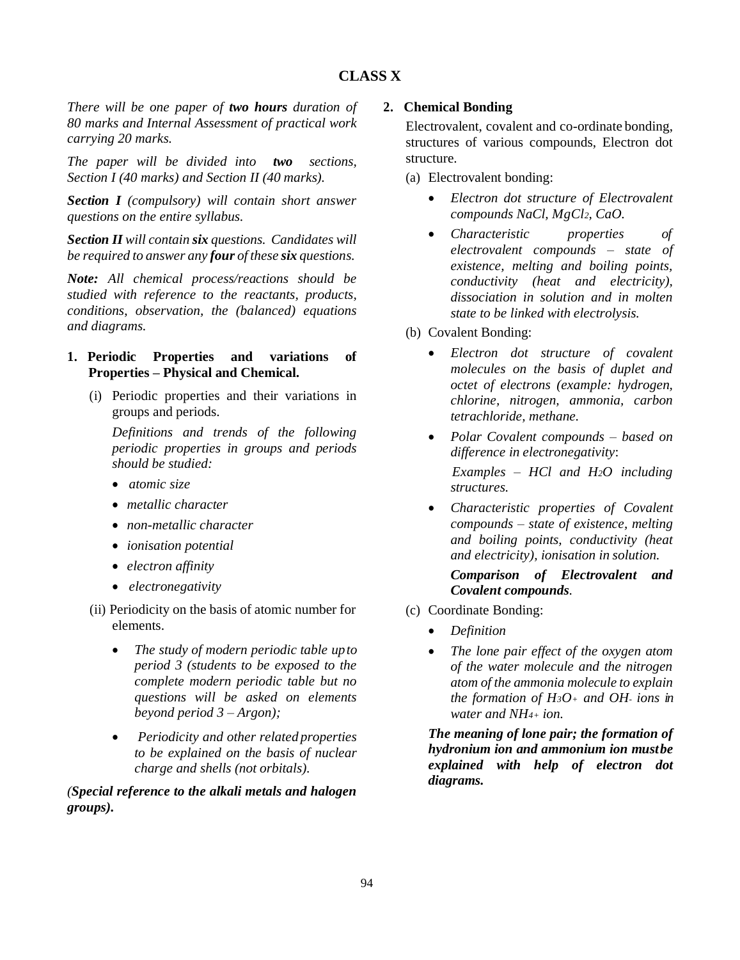# **CLASS X**

*There will be one paper of two hours duration of 80 marks and Internal Assessment of practical work carrying 20 marks.*

*The paper will be divided into two sections, Section I (40 marks) and Section II (40 marks).*

*Section I (compulsory) will contain short answer questions on the entire syllabus.*

*Section II will contain six questions. Candidates will be required to answer any four of these six questions.*

*Note: All chemical process/reactions should be studied with reference to the reactants, products, conditions*, *observation, the (balanced) equations and diagrams.*

## **1. Periodic Properties and variations of Properties – Physical and Chemical.**

(i) Periodic properties and their variations in groups and periods.

*Definitions and trends of the following periodic properties in groups and periods should be studied:*

- *atomic size*
- *metallic character*
- *non-metallic character*
- *ionisation potential*
- *electron affinity*
- *electronegativity*
- (ii) Periodicity on the basis of atomic number for elements.
	- *The study of modern periodic table upto period 3 (students to be exposed to the complete modern periodic table but no questions will be asked on elements beyond period 3 – Argon);*
	- *Periodicity and other related properties to be explained on the basis of nuclear charge and shells (not orbitals).*

*(Special reference to the alkali metals and halogen groups).*

## **2. Chemical Bonding**

Electrovalent, covalent and co-ordinate bonding, structures of various compounds, Electron dot structure*.*

(a) Electrovalent bonding:

- *Electron dot structure of Electrovalent compounds NaCl, MgCl2, CaO.*
- *Characteristic properties of electrovalent compounds – state of existence, melting and boiling points, conductivity (heat and electricity), dissociation in solution and in molten state to be linked with electrolysis.*
- (b) Covalent Bonding:
	- *Electron dot structure of covalent molecules on the basis of duplet and octet of electrons (example: hydrogen, chlorine, nitrogen, ammonia, carbon tetrachloride, methane.*
	- *Polar Covalent compounds – based on difference in electronegativity*: *Examples – HCl and H2O including structures.*
	- *Characteristic properties of Covalent compounds – state of existence, melting and boiling points, conductivity (heat and electricity), ionisation in solution.*

*Comparison of Electrovalent and Covalent compounds.*

- (c) Coordinate Bonding:
	- *Definition*
	- *The lone pair effect of the oxygen atom of the water molecule and the nitrogen atom of the ammonia molecule to explain the formation of H3O<sup>+</sup> and OH- ions in water and NH4+ ion.*

*The meaning of lone pair; the formation of hydronium ion and ammonium ion mustbe explained with help of electron dot diagrams.*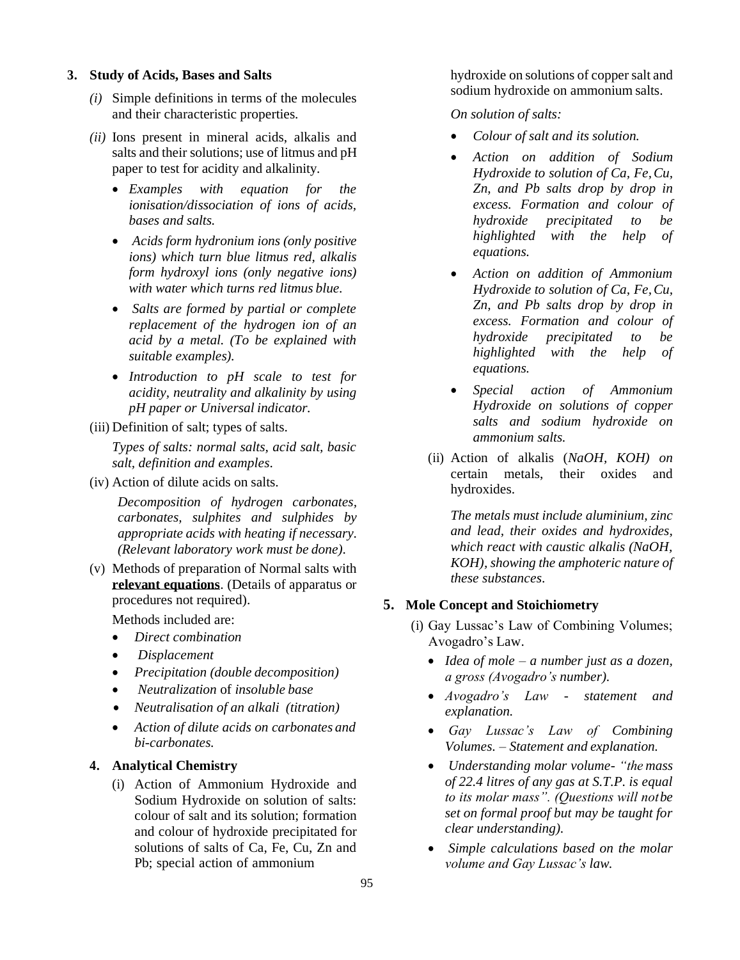#### **3. Study of Acids, Bases and Salts**

- *(i)* Simple definitions in terms of the molecules and their characteristic properties*.*
- *(ii)* Ions present in mineral acids, alkalis and salts and their solutions; use of litmus and pH paper to test for acidity and alkalinity*.*
	- *Examples with equation for the ionisation/dissociation of ions of acids, bases and salts.*
	- *Acids form hydronium ions (only positive ions) which turn blue litmus red, alkalis form hydroxyl ions (only negative ions) with water which turns red litmus blue.*
	- *Salts are formed by partial or complete replacement of the hydrogen ion of an acid by a metal. (To be explained with suitable examples).*
	- *Introduction to pH scale to test for acidity, neutrality and alkalinity by using pH paper or Universal indicator.*
- (iii) Definition of salt; types of salts.

*Types of salts: normal salts, acid salt, basic salt, definition and examples*.

(iv) Action of dilute acids on salts.

*Decomposition of hydrogen carbonates, carbonates, sulphites and sulphides by appropriate acids with heating if necessary. (Relevant laboratory work must be done).*

(v) Methods of preparation of Normal salts with **relevant equations**. (Details of apparatus or procedures not required).

Methods included are:

- *Direct combination*
- *Displacement*
- *Precipitation (double decomposition)*
- *Neutralization* of *insoluble base*
- *Neutralisation of an alkali (titration)*
- *Action of dilute acids on carbonates and bi-carbonates.*

#### **4. Analytical Chemistry**

(i) Action of Ammonium Hydroxide and Sodium Hydroxide on solution of salts: colour of salt and its solution; formation and colour of hydroxide precipitated for solutions of salts of Ca, Fe, Cu, Zn and Pb; special action of ammonium

hydroxide on solutions of coppersalt and sodium hydroxide on ammonium salts.

*On solution of salts:*

- *Colour of salt and its solution.*
- *Action on addition of Sodium Hydroxide to solution of Ca, Fe,Cu, Zn*, *and Pb salts drop by drop in excess. Formation and colour of hydroxide precipitated to be highlighted with the help of equations.*
- *Action on addition of Ammonium Hydroxide to solution of Ca, Fe,Cu, Zn, and Pb salts drop by drop in excess. Formation and colour of hydroxide precipitated to be highlighted with the help of equations.*
- *Special action of Ammonium Hydroxide on solutions of copper salts and sodium hydroxide on ammonium salts.*
- (ii) Action of alkalis (*NaOH, KOH) on*  certain metals, their oxides and hydroxides.

*The metals must include aluminium, zinc and lead, their oxides and hydroxides, which react with caustic alkalis (NaOH, KOH), showing the amphoteric nature of these substances*.

#### **5. Mole Concept and Stoichiometry**

- (i) Gay Lussac's Law of Combining Volumes; Avogadro's Law.
	- *Idea of mole – a number just as a dozen, a gross (Avogadro's number).*
	- *Avogadro's Law - statement and explanation.*
	- *Gay Lussac's Law of Combining Volumes. – Statement and explanation.*
	- *Understanding molar volume- "the mass of 22.4 litres of any gas at S.T.P. is equal to its molar mass". (Questions will notbe set on formal proof but may be taught for clear understanding).*
	- *Simple calculations based on the molar volume and Gay Lussac's law.*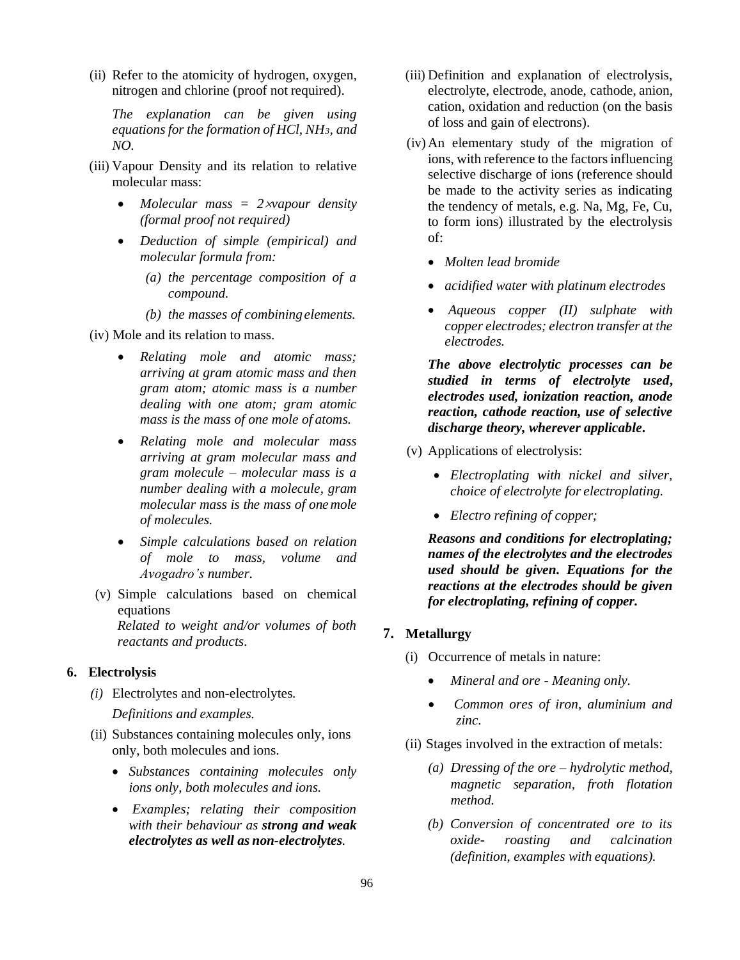(ii) Refer to the atomicity of hydrogen, oxygen, nitrogen and chlorine (proof not required).

*The explanation can be given using equations for the formation of HCl, NH3, and NO.*

- (iii) Vapour Density and its relation to relative molecular mass:
	- *Molecular mass = 2vapour density (formal proof not required)*
	- *Deduction of simple (empirical) and molecular formula from:*
		- *(a) the percentage composition of a compound.*
		- *(b) the masses of combiningelements.*
- (iv) Mole and its relation to mass.
	- *Relating mole and atomic mass; arriving at gram atomic mass and then gram atom; atomic mass is a number dealing with one atom; gram atomic mass is the mass of one mole of atoms.*
	- *Relating mole and molecular mass arriving at gram molecular mass and gram molecule – molecular mass is a number dealing with a molecule, gram molecular mass is the mass of onemole of molecules.*
	- *Simple calculations based on relation of mole to mass, volume and Avogadro's number.*
- (v) Simple calculations based on chemical equations *Related to weight and/or volumes of both reactants and products*.

#### **6. Electrolysis**

*(i)* Electrolytes and non-electrolytes*.* 

*Definitions and examples.*

- (ii) Substances containing molecules only, ions only, both molecules and ions.
	- *Substances containing molecules only ions only, both molecules and ions.*
	- *Examples; relating their composition with their behaviour as strong and weak electrolytes as well as non-electrolytes.*
- (iii) Definition and explanation of electrolysis, electrolyte, electrode, anode, cathode, anion, cation, oxidation and reduction (on the basis of loss and gain of electrons).
- (iv) An elementary study of the migration of ions, with reference to the factors influencing selective discharge of ions (reference should be made to the activity series as indicating the tendency of metals, e.g. Na, Mg, Fe, Cu, to form ions) illustrated by the electrolysis of:
	- *Molten lead bromide*
	- *acidified water with platinum electrodes*
	- *Aqueous copper (II) sulphate with copper electrodes; electron transfer at the electrodes.*

*The above electrolytic processes can be studied in terms of electrolyte used***,**  *electrodes used, ionization reaction, anode reaction, cathode reaction, use of selective discharge theory, wherever applicable***.**

- (v) Applications of electrolysis:
	- *Electroplating with nickel and silver, choice of electrolyte for electroplating.*
	- *Electro refining of copper;*

*Reasons and conditions for electroplating; names of the electrolytes and the electrodes used should be given. Equations for the reactions at the electrodes should be given for electroplating, refining of copper.*

#### **7. Metallurgy**

- (i) Occurrence of metals in nature:
	- *Mineral and ore - Meaning only.*
	- *Common ores of iron, aluminium and zinc.*
- (ii) Stages involved in the extraction of metals:
	- *(a) Dressing of the ore – hydrolytic method, magnetic separation, froth flotation method.*
	- *(b) Conversion of concentrated ore to its oxide- roasting and calcination (definition, examples with equations).*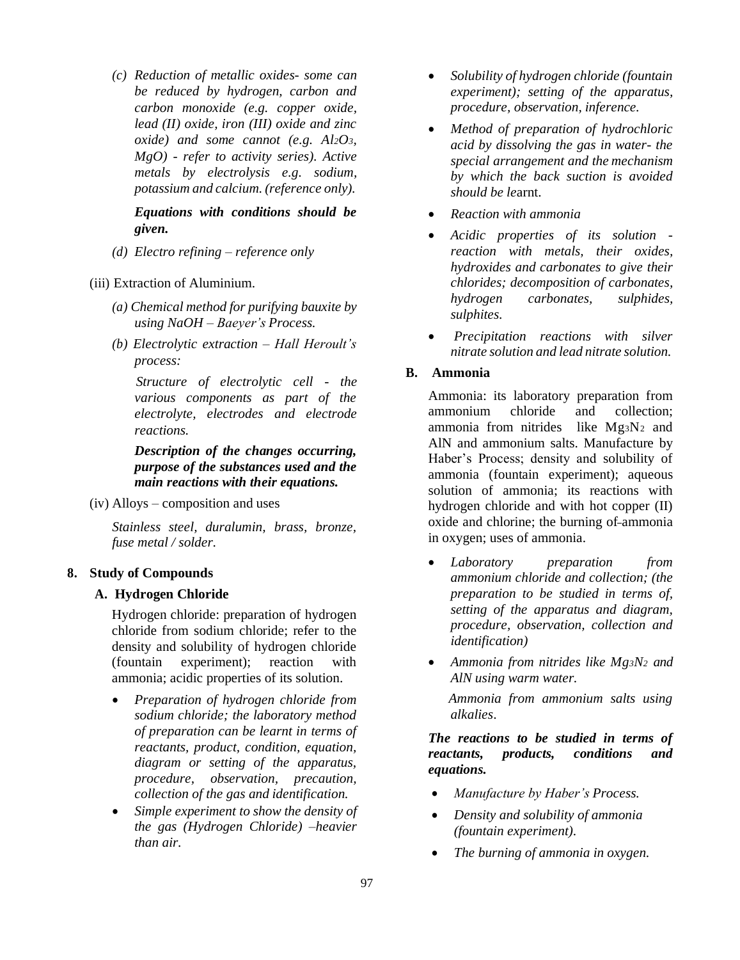*(c) Reduction of metallic oxides- some can be reduced by hydrogen, carbon and carbon monoxide (e.g. copper oxide, lead (II) oxide, iron (III) oxide and zinc oxide) and some cannot (e.g. Al2O3, MgO) - refer to activity series). Active metals by electrolysis e.g. sodium, potassium and calcium. (reference only).*

*Equations with conditions should be given.*

- *(d) Electro refining – reference only*
- (iii) Extraction of Aluminium.
	- *(a) Chemical method for purifying bauxite by using NaOH – Baeyer's Process.*
	- *(b) Electrolytic extraction – Hall Heroult's process:*

*Structure of electrolytic cell - the various components as part of the electrolyte, electrodes and electrode reactions.*

## *Description of the changes occurring, purpose of the substances used and the main reactions with their equations.*

(iv) Alloys – composition and uses

*Stainless steel, duralumin, brass, bronze, fuse metal / solder.*

# **8. Study of Compounds**

## **A. Hydrogen Chloride**

Hydrogen chloride: preparation of hydrogen chloride from sodium chloride; refer to the density and solubility of hydrogen chloride (fountain experiment); reaction with ammonia; acidic properties of its solution.

- *Preparation of hydrogen chloride from sodium chloride; the laboratory method of preparation can be learnt in terms of reactants, product, condition, equation, diagram or setting of the apparatus, procedure, observation, precaution, collection of the gas and identification.*
- *Simple experiment to show the density of the gas (Hydrogen Chloride) –heavier than air.*
- *Solubility of hydrogen chloride (fountain experiment); setting of the apparatus, procedure, observation, inference.*
- *Method of preparation of hydrochloric acid by dissolving the gas in water- the special arrangement and the mechanism by which the back suction is avoided should be le*arnt.
- *Reaction with ammonia*
- *Acidic properties of its solution reaction with metals, their oxides, hydroxides and carbonates to give their chlorides; decomposition of carbonates, hydrogen carbonates, sulphides, sulphites.*
- *Precipitation reactions with silver nitrate solution and lead nitrate solution.*

## **B. Ammonia**

Ammonia: its laboratory preparation from ammonium chloride and collection; ammonia from nitrides like  $Mg_3N_2$  and AlN and ammonium salts. Manufacture by Haber's Process; density and solubility of ammonia (fountain experiment); aqueous solution of ammonia; its reactions with hydrogen chloride and with hot copper (II) oxide and chlorine; the burning of ammonia in oxygen; uses of ammonia.

- *Laboratory preparation from ammonium chloride and collection; (the preparation to be studied in terms of, setting of the apparatus and diagram, procedure, observation, collection and identification)*
- *Ammonia from nitrides like Mg3N<sup>2</sup> and AlN using warm water.*

*Ammonia from ammonium salts using alkalies*.

*The reactions to be studied in terms of reactants, products, conditions and equations.*

- *Manufacture by Haber's Process.*
- *Density and solubility of ammonia (fountain experiment).*
- *The burning of ammonia in oxygen.*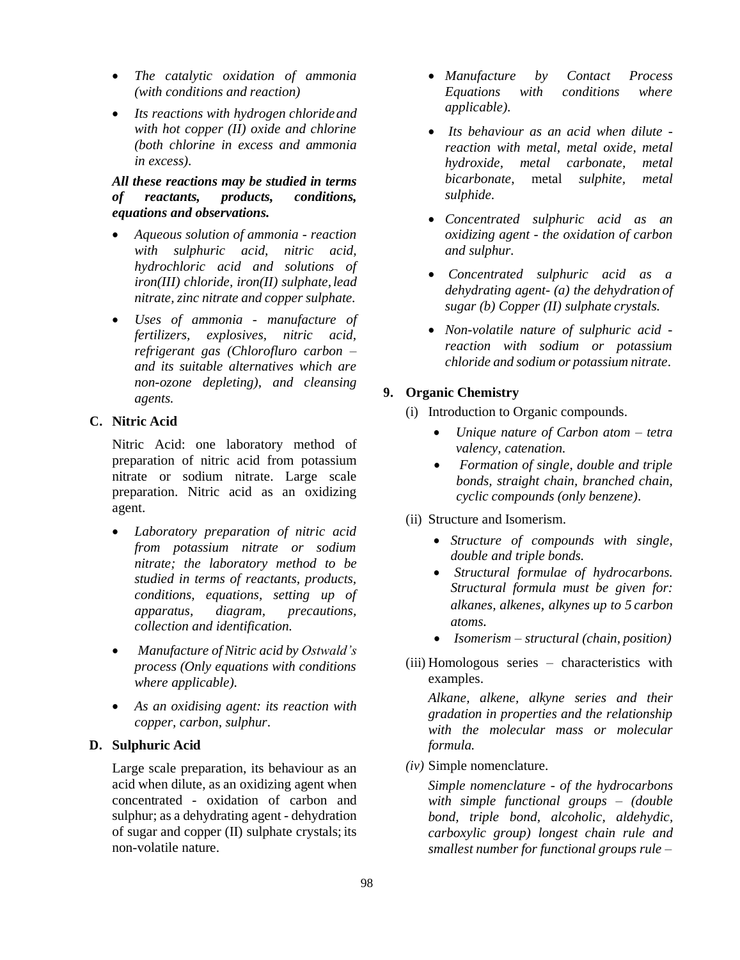- *The catalytic oxidation of ammonia (with conditions and reaction)*
- *Its reactions with hydrogen chlorideand with hot copper (II) oxide and chlorine (both chlorine in excess and ammonia in excess).*

## *All these reactions may be studied in terms of reactants, products, conditions, equations and observations.*

- *Aqueous solution of ammonia - reaction with sulphuric acid, nitric acid, hydrochloric acid and solutions of iron(III) chloride, iron(II) sulphate, lead nitrate, zinc nitrate and copper sulphate.*
- *Uses of ammonia - manufacture of fertilizers, explosives, nitric acid, refrigerant gas (Chlorofluro carbon – and its suitable alternatives which are non-ozone depleting), and cleansing agents.*

# **C. Nitric Acid**

Nitric Acid: one laboratory method of preparation of nitric acid from potassium nitrate or sodium nitrate. Large scale preparation. Nitric acid as an oxidizing agent.

- *Laboratory preparation of nitric acid from potassium nitrate or sodium nitrate; the laboratory method to be studied in terms of reactants, products, conditions, equations, setting up of apparatus, diagram, precautions, collection and identification.*
- *Manufacture of Nitric acid by Ostwald's process (Only equations with conditions where applicable).*
- *As an oxidising agent: its reaction with copper, carbon, sulphur*.

## **D. Sulphuric Acid**

Large scale preparation, its behaviour as an acid when dilute, as an oxidizing agent when concentrated - oxidation of carbon and sulphur; as a dehydrating agent - dehydration of sugar and copper (II) sulphate crystals; its non-volatile nature.

- *Manufacture by Contact Process Equations with conditions where applicable).*
- *Its behaviour as an acid when dilute reaction with metal, metal oxide, metal hydroxide, metal carbonate, metal bicarbonate*, metal *sulphite, metal sulphide.*
- *Concentrated sulphuric acid as an oxidizing agent - the oxidation of carbon and sulphur.*
- *Concentrated sulphuric acid as a dehydrating agent- (a) the dehydration of sugar (b) Copper (II) sulphate crystals.*
- *Non-volatile nature of sulphuric acid reaction with sodium or potassium chloride and sodium or potassium nitrate*.

# **9. Organic Chemistry**

- (i) Introduction to Organic compounds.
	- *Unique nature of Carbon atom – tetra valency, catenation.*
	- *Formation of single, double and triple bonds, straight chain, branched chain, cyclic compounds (only benzene)*.
- (ii) Structure and Isomerism.
	- *Structure of compounds with single, double and triple bonds.*
	- *Structural formulae of hydrocarbons. Structural formula must be given for: alkanes, alkenes, alkynes up to 5 carbon atoms.*
	- *Isomerism – structural (chain, position)*
- (iii) Homologous series characteristics with examples.

*Alkane, alkene, alkyne series and their gradation in properties and the relationship with the molecular mass or molecular formula.*

*(iv)* Simple nomenclature*.*

*Simple nomenclature - of the hydrocarbons with simple functional groups – (double bond, triple bond, alcoholic, aldehydic, carboxylic group) longest chain rule and smallest number for functional groups rule –*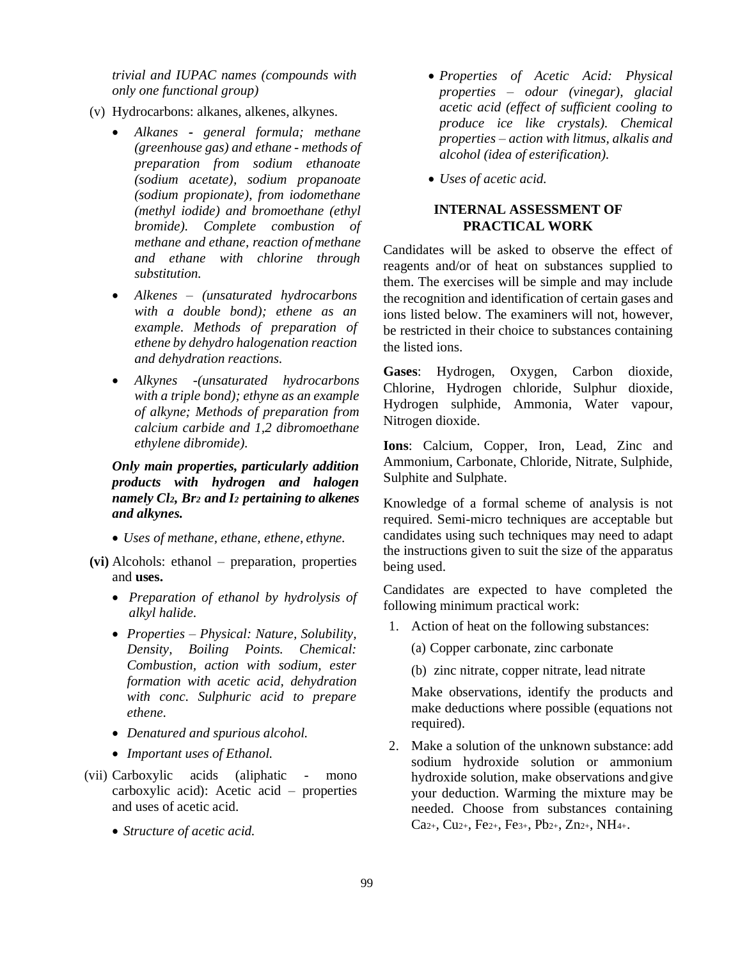*trivial and IUPAC names (compounds with only one functional group)*

- (v) Hydrocarbons: alkanes, alkenes, alkynes.
	- *Alkanes - general formula; methane (greenhouse gas) and ethane - methods of preparation from sodium ethanoate (sodium acetate), sodium propanoate (sodium propionate), from iodomethane (methyl iodide) and bromoethane (ethyl bromide). Complete combustion of methane and ethane, reaction ofmethane and ethane with chlorine through substitution.*
	- *Alkenes – (unsaturated hydrocarbons with a double bond); ethene as an example. Methods of preparation of ethene by dehydro halogenation reaction and dehydration reactions.*
	- *Alkynes -(unsaturated hydrocarbons with a triple bond); ethyne as an example of alkyne; Methods of preparation from calcium carbide and 1,2 dibromoethane ethylene dibromide).*

*Only main properties, particularly addition products with hydrogen and halogen namely Cl2, Br<sup>2</sup> and I<sup>2</sup> pertaining to alkenes and alkynes.*

- *Uses of methane, ethane, ethene, ethyne.*
- **(vi)** Alcohols: ethanol preparation, properties and **uses.**
	- *Preparation of ethanol by hydrolysis of alkyl halide.*
	- *Properties – Physical: Nature, Solubility, Density, Boiling Points. Chemical: Combustion, action with sodium, ester formation with acetic acid, dehydration with conc. Sulphuric acid to prepare ethene.*
	- *Denatured and spurious alcohol.*
	- *Important uses of Ethanol.*
- (vii) Carboxylic acids (aliphatic mono carboxylic acid): Acetic acid – properties and uses of acetic acid.
	- *Structure of acetic acid.*
- *Properties of Acetic Acid: Physical properties – odour (vinegar), glacial acetic acid (effect of sufficient cooling to produce ice like crystals). Chemical properties – action with litmus, alkalis and alcohol (idea of esterification).*
- *Uses of acetic acid.*

### **INTERNAL ASSESSMENT OF PRACTICAL WORK**

Candidates will be asked to observe the effect of reagents and/or of heat on substances supplied to them. The exercises will be simple and may include the recognition and identification of certain gases and ions listed below. The examiners will not, however, be restricted in their choice to substances containing the listed ions.

**Gases**: Hydrogen, Oxygen, Carbon dioxide, Chlorine, Hydrogen chloride, Sulphur dioxide, Hydrogen sulphide, Ammonia, Water vapour, Nitrogen dioxide.

**Ions**: Calcium, Copper, Iron, Lead, Zinc and Ammonium, Carbonate, Chloride, Nitrate, Sulphide, Sulphite and Sulphate.

Knowledge of a formal scheme of analysis is not required. Semi-micro techniques are acceptable but candidates using such techniques may need to adapt the instructions given to suit the size of the apparatus being used.

Candidates are expected to have completed the following minimum practical work:

1. Action of heat on the following substances:

(a) Copper carbonate, zinc carbonate

(b) zinc nitrate, copper nitrate, lead nitrate

Make observations, identify the products and make deductions where possible (equations not required).

2. Make a solution of the unknown substance: add sodium hydroxide solution or ammonium hydroxide solution, make observations andgive your deduction. Warming the mixture may be needed. Choose from substances containing Ca2+, Cu2+, Fe2+, Fe3+, Pb2+, Zn2+, NH4+.